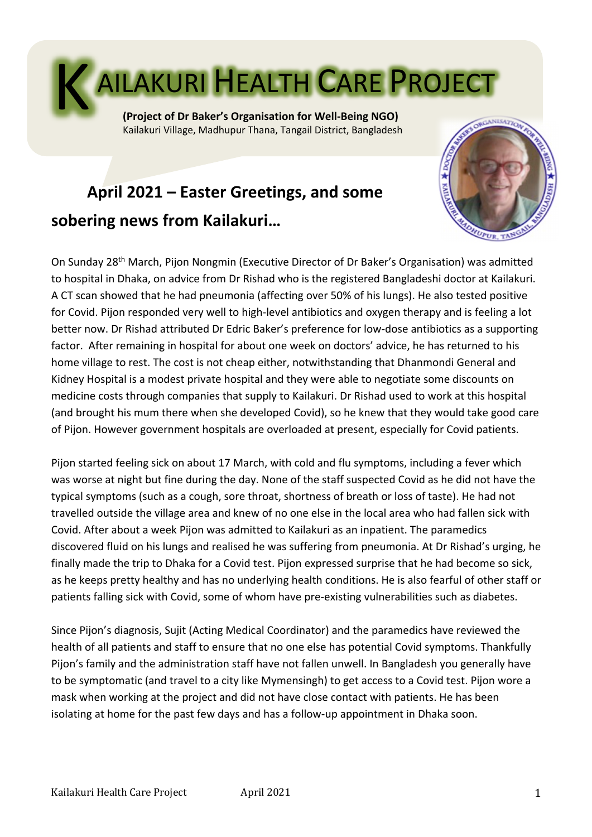

Kailakuri Village, Madhupur Thana, Tangail District, Bangladesh

# **April 2021 – Easter Greetings, and some sobering news from Kailakuri…**



On Sunday 28th March, Pijon Nongmin (Executive Director of Dr Baker's Organisation) was admitted to hospital in Dhaka, on advice from Dr Rishad who is the registered Bangladeshi doctor at Kailakuri. A CT scan showed that he had pneumonia (affecting over 50% of his lungs). He also tested positive for Covid. Pijon responded very well to high-level antibiotics and oxygen therapy and is feeling a lot better now. Dr Rishad attributed Dr Edric Baker's preference for low-dose antibiotics as a supporting factor. After remaining in hospital for about one week on doctors' advice, he has returned to his home village to rest. The cost is not cheap either, notwithstanding that Dhanmondi General and Kidney Hospital is a modest private hospital and they were able to negotiate some discounts on medicine costs through companies that supply to Kailakuri. Dr Rishad used to work at this hospital (and brought his mum there when she developed Covid), so he knew that they would take good care of Pijon. However government hospitals are overloaded at present, especially for Covid patients.

Pijon started feeling sick on about 17 March, with cold and flu symptoms, including a fever which was worse at night but fine during the day. None of the staff suspected Covid as he did not have the typical symptoms (such as a cough, sore throat, shortness of breath or loss of taste). He had not travelled outside the village area and knew of no one else in the local area who had fallen sick with Covid. After about a week Pijon was admitted to Kailakuri as an inpatient. The paramedics discovered fluid on his lungs and realised he was suffering from pneumonia. At Dr Rishad's urging, he finally made the trip to Dhaka for a Covid test. Pijon expressed surprise that he had become so sick, as he keeps pretty healthy and has no underlying health conditions. He is also fearful of other staff or patients falling sick with Covid, some of whom have pre-existing vulnerabilities such as diabetes.

Since Pijon's diagnosis, Sujit (Acting Medical Coordinator) and the paramedics have reviewed the health of all patients and staff to ensure that no one else has potential Covid symptoms. Thankfully Pijon's family and the administration staff have not fallen unwell. In Bangladesh you generally have to be symptomatic (and travel to a city like Mymensingh) to get access to a Covid test. Pijon wore a mask when working at the project and did not have close contact with patients. He has been isolating at home for the past few days and has a follow-up appointment in Dhaka soon.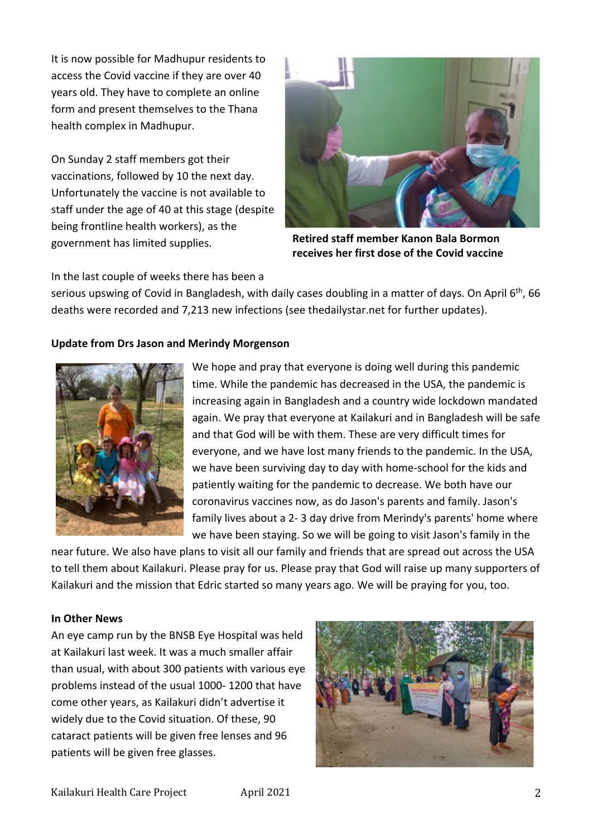It is now possible for Madhupur residents to access the Covid vaccine if they are over 40 years old. They have to complete an online form and present themselves to the Thana health complex in Madhupur.

On Sunday 2 staff members got their vaccinations, followed by 10 the next day. Unfortunately the vaccine is not available to staff under the age of 40 at this stage (despite being frontline health workers), as the government has limited supplies.



**Retired staff member Kanon Bala Bormon receives her first dose of the Covid vaccine**

In the last couple of weeks there has been a

serious upswing of Covid in Bangladesh, with daily cases doubling in a matter of days. On April 6<sup>th</sup>, 66 deaths were recorded and 7,213 new infections (see thedailystar.net for further updates).

## **Update from Drs Jason and Merindy Morgenson**



We hope and pray that everyone is doing well during this pandemic time. While the pandemic has decreased in the USA, the pandemic is increasing again in Bangladesh and a country wide lockdown mandated again. We pray that everyone at Kailakuri and in Bangladesh will be safe and that God will be with them. These are very difficult times for everyone, and we have lost many friends to the pandemic. In the USA, we have been surviving day to day with home-school for the kids and patiently waiting for the pandemic to decrease. We both have our coronavirus vaccines now, as do Jason's parents and family. Jason's family lives about a 2- 3 day drive from Merindy's parents' home where we have been staying. So we will be going to visit Jason's family in the

near future. We also have plans to visit all our family and friends that are spread out across the USA to tell them about Kailakuri. Please pray for us. Please pray that God will raise up many supporters of Kailakuri and the mission that Edric started so many years ago. We will be praying for you, too.

#### **In Other News**

An eye camp run by the BNSB Eye Hospital was held at Kailakuri last week. It was a much smaller affair than usual, with about 300 patients with various eye problems instead of the usual 1000- 1200 that have come other years, as Kailakuri didn't advertise it widely due to the Covid situation. Of these, 90 cataract patients will be given free lenses and 96 patients will be given free glasses.